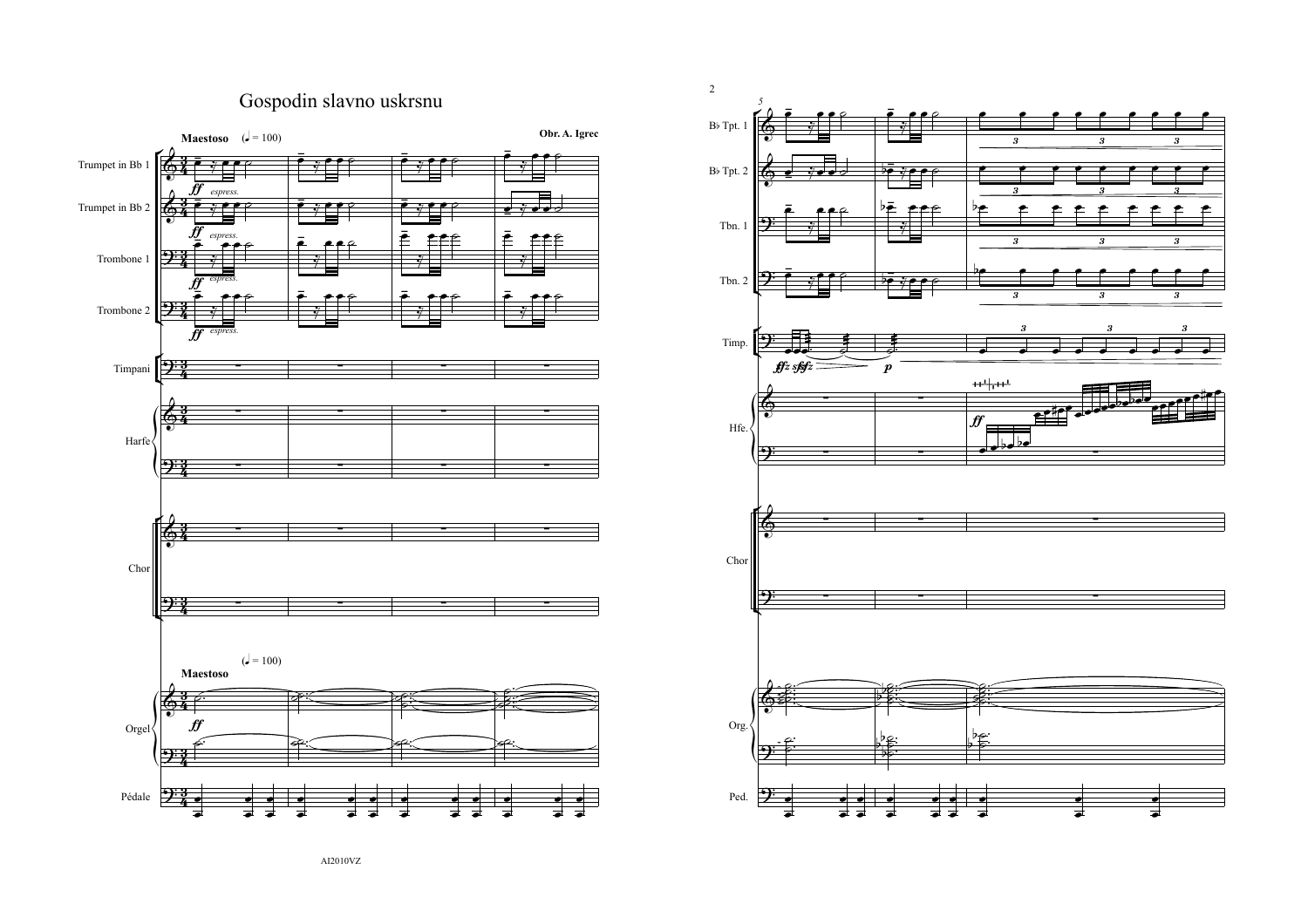## Gospodin slavno uskrsnu



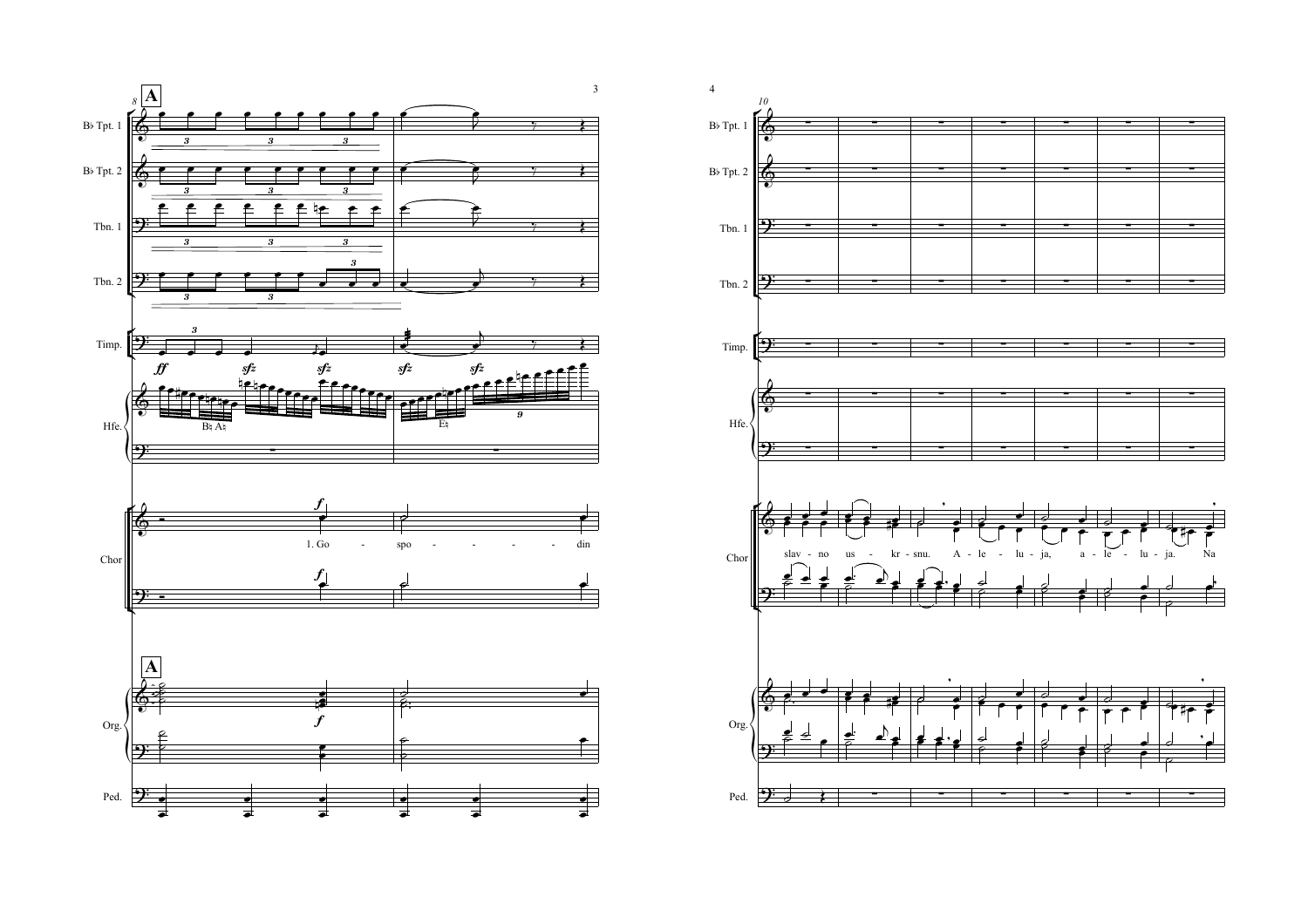

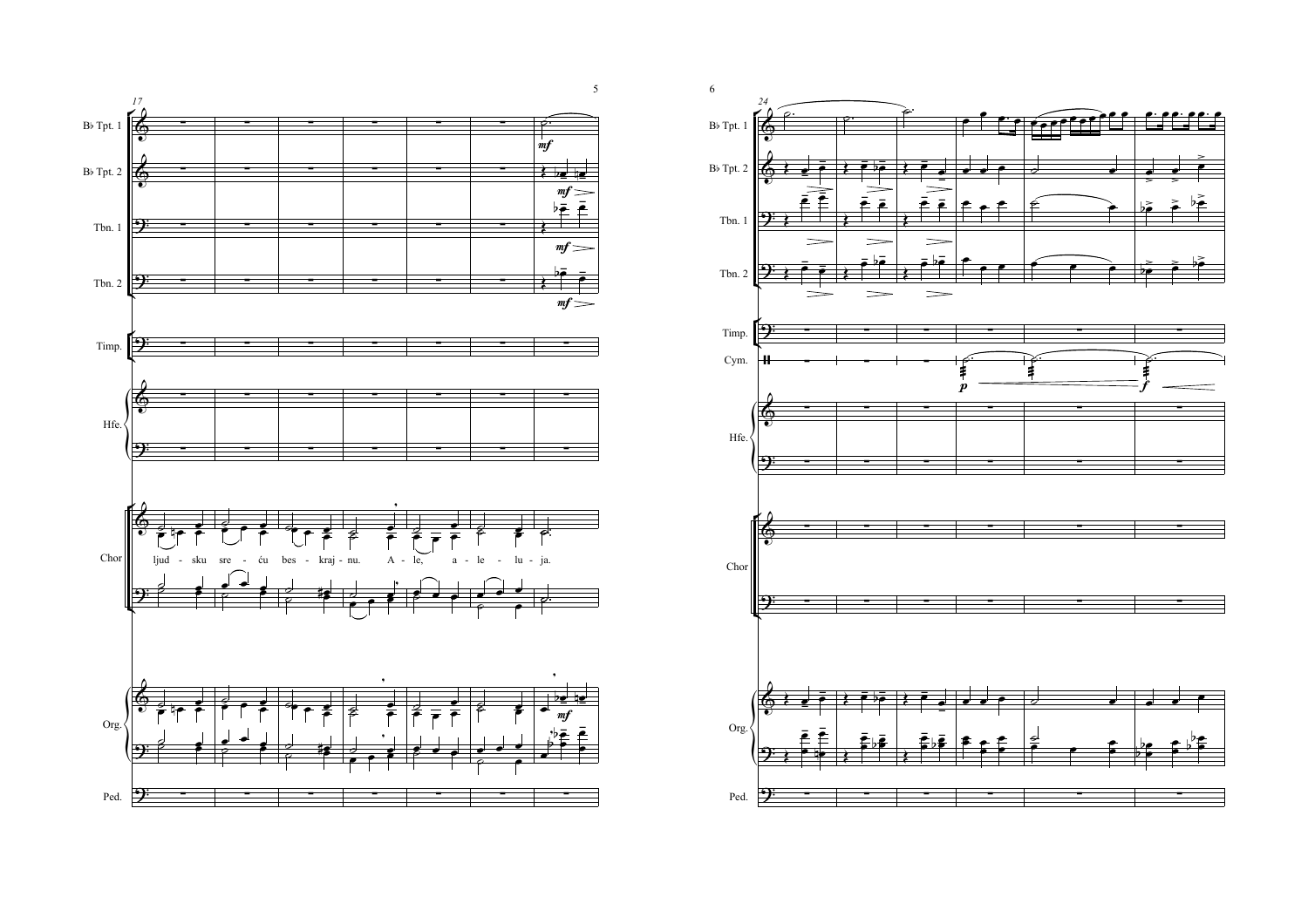

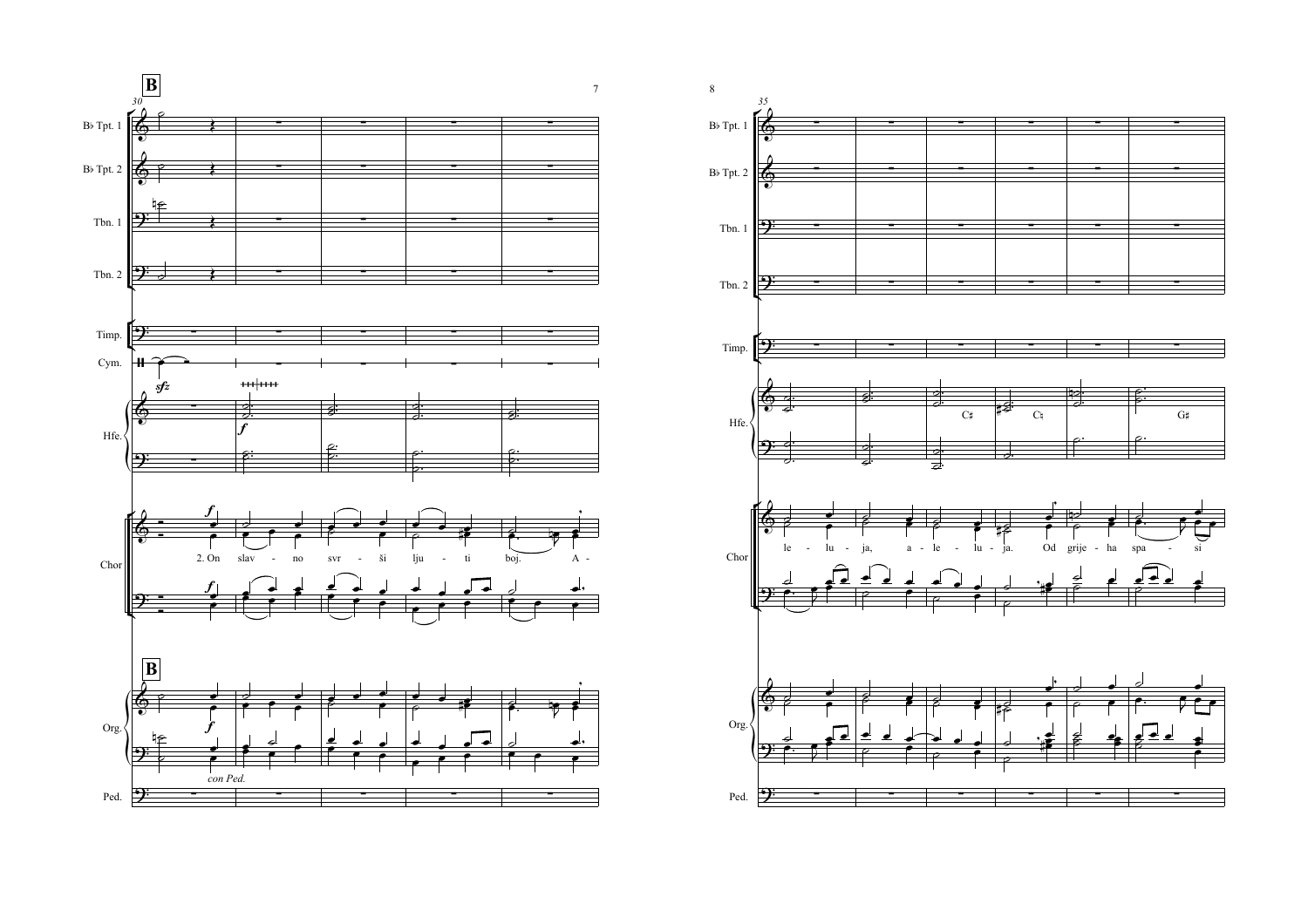

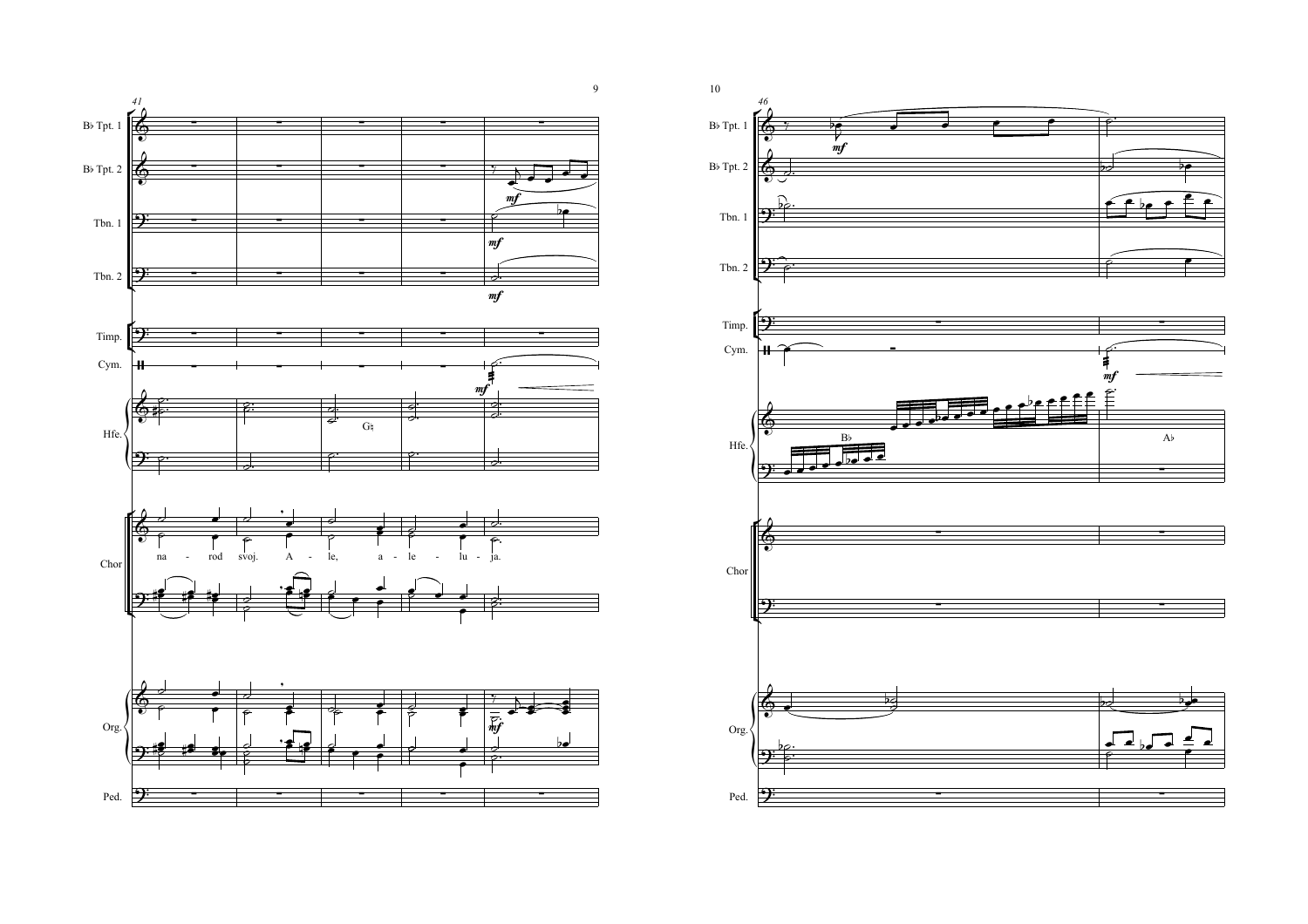

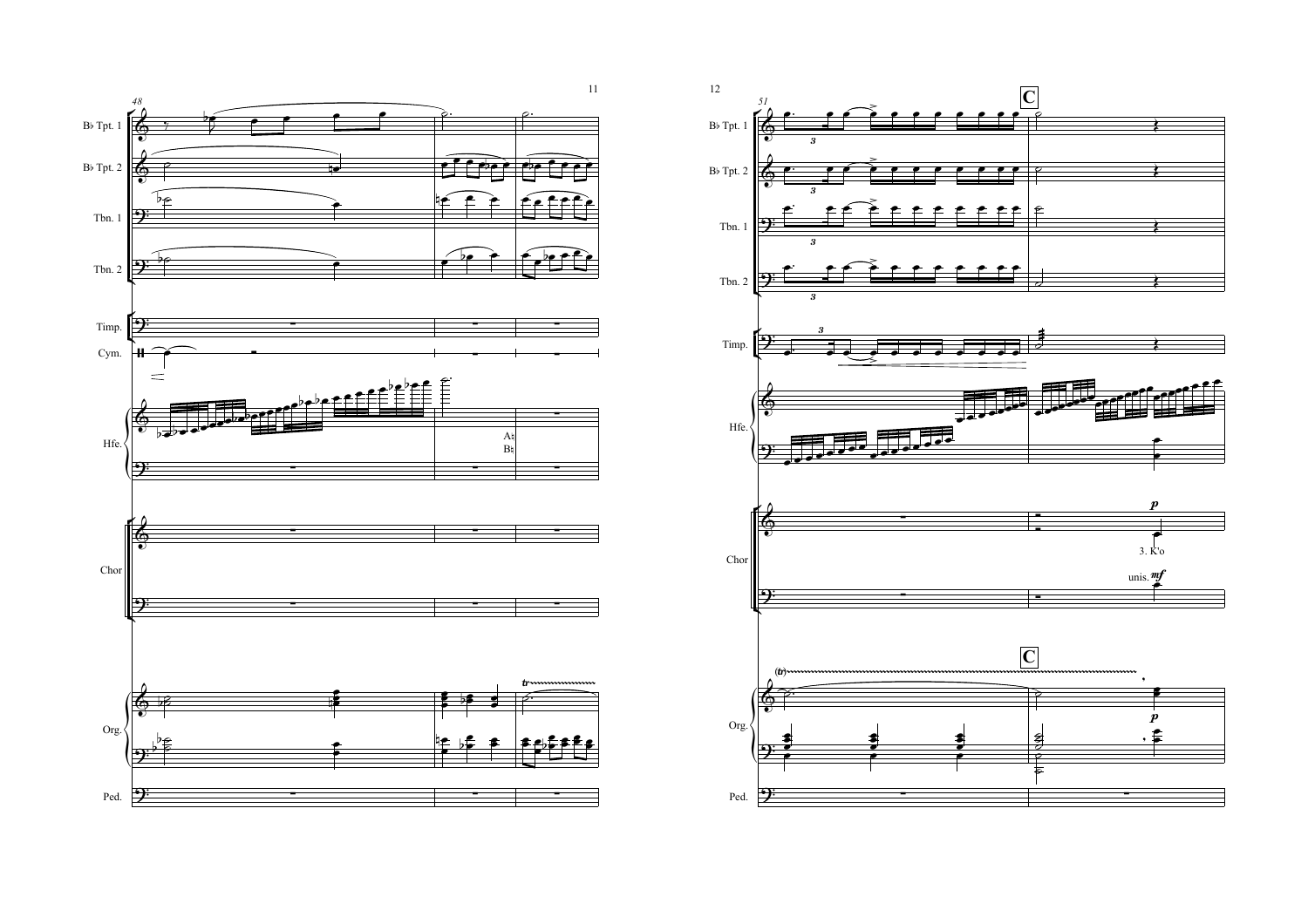

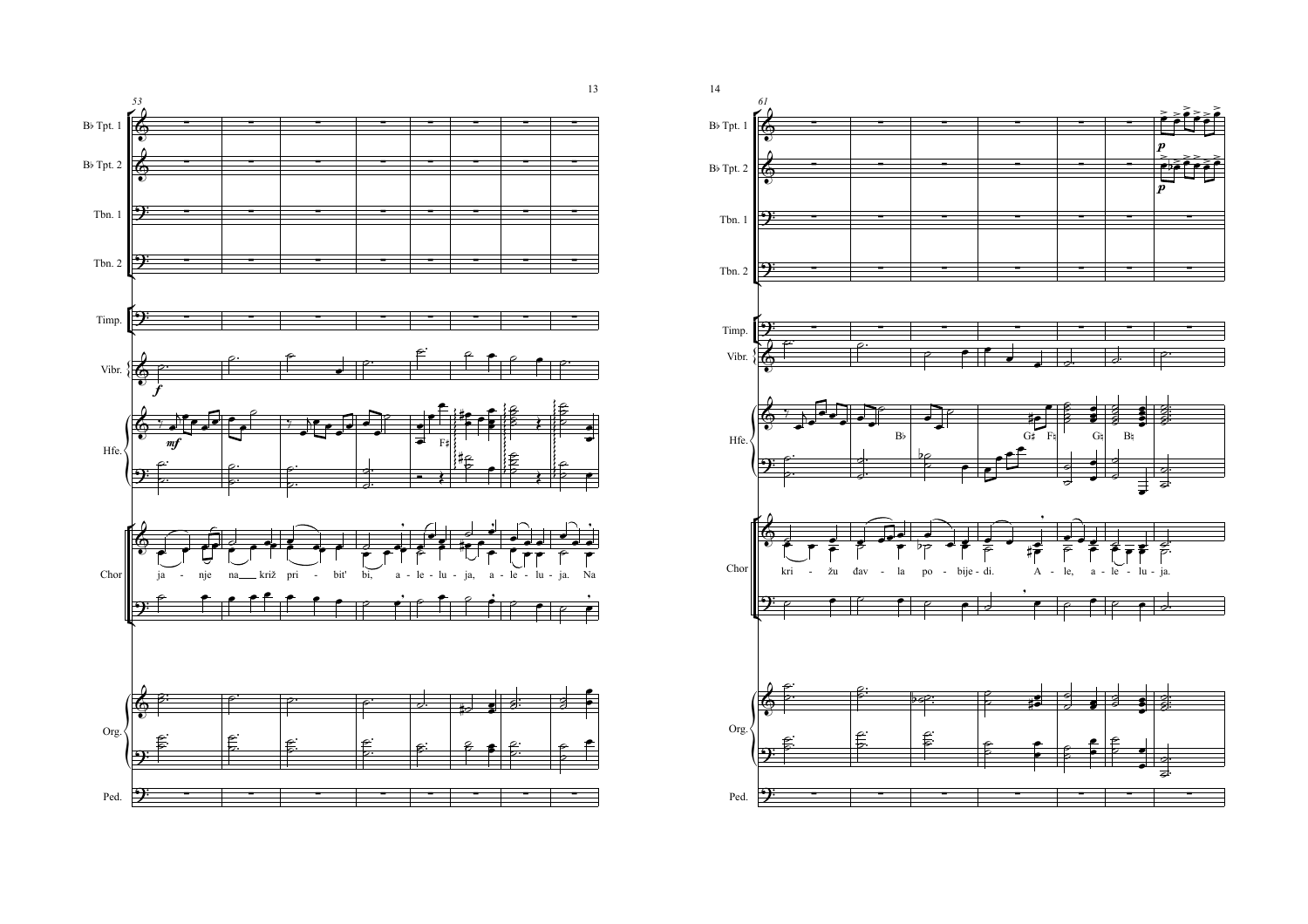

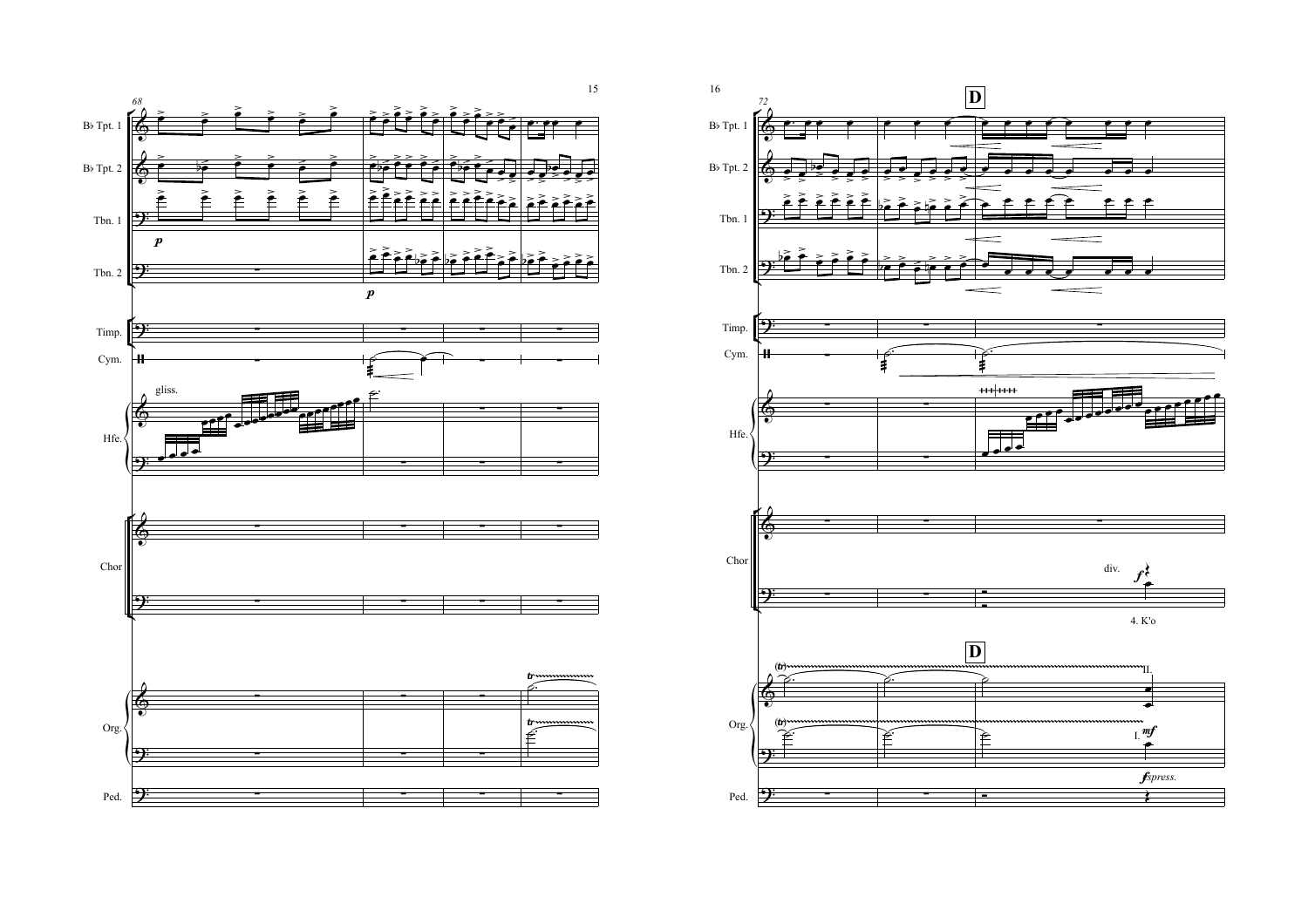

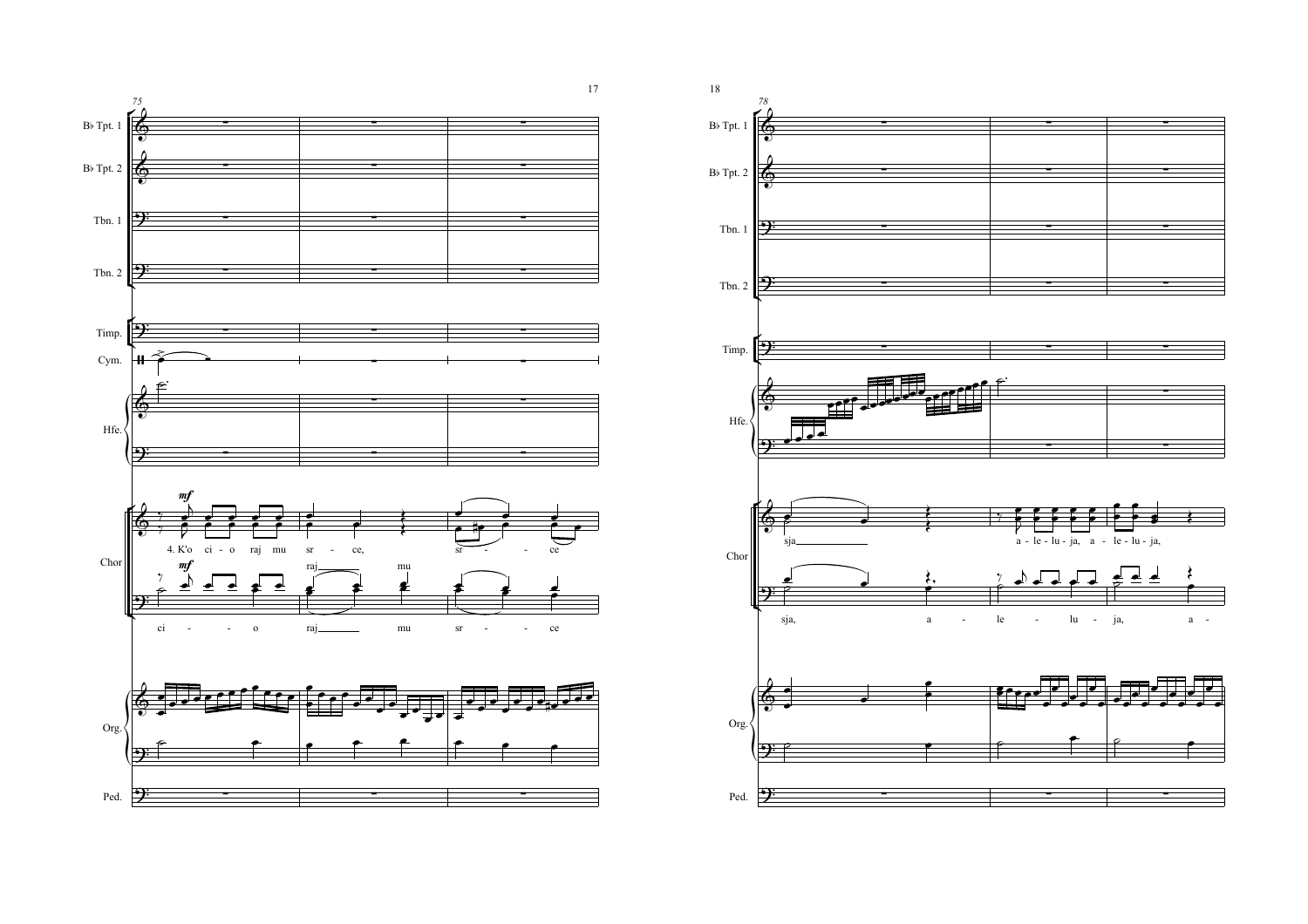

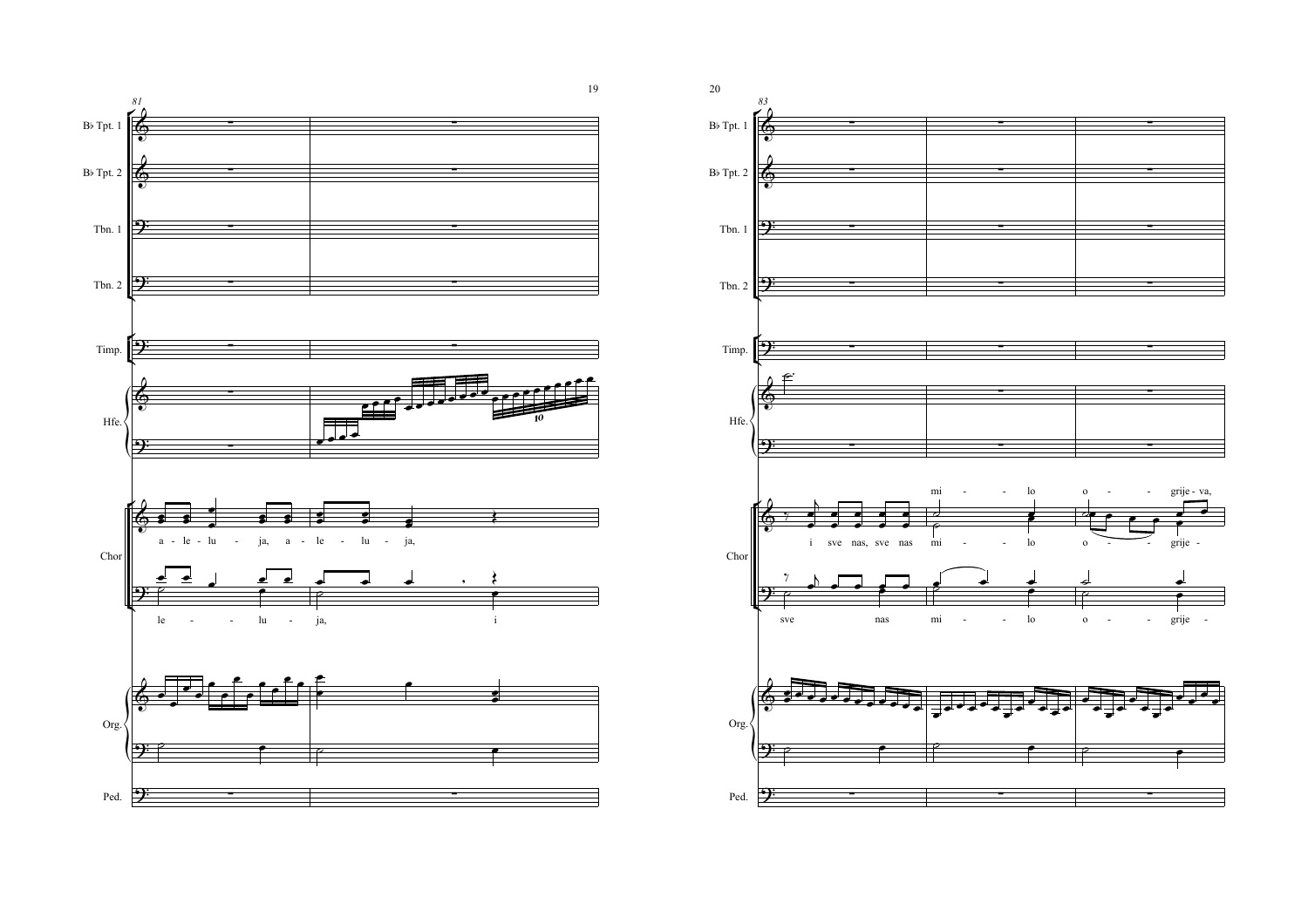

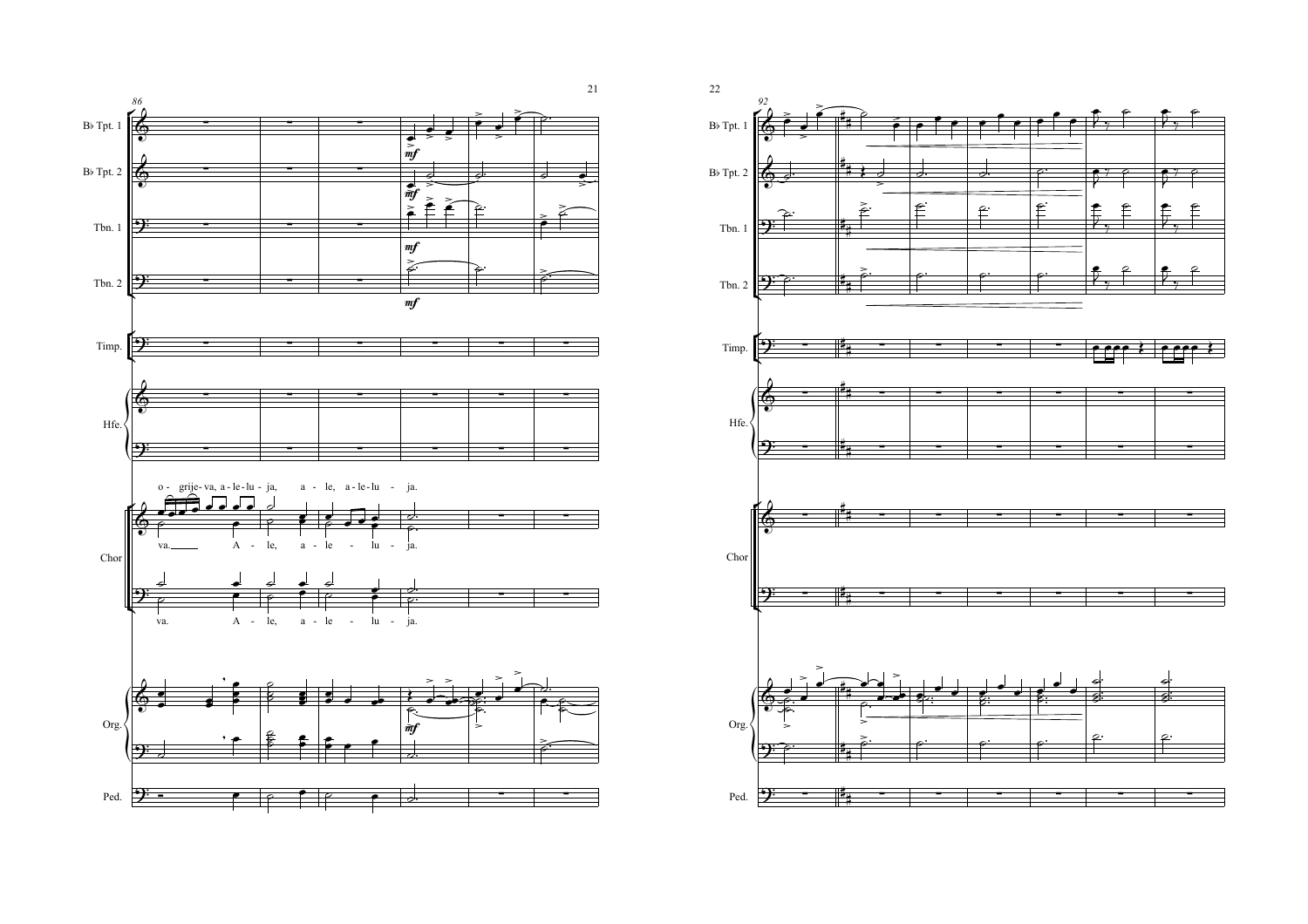

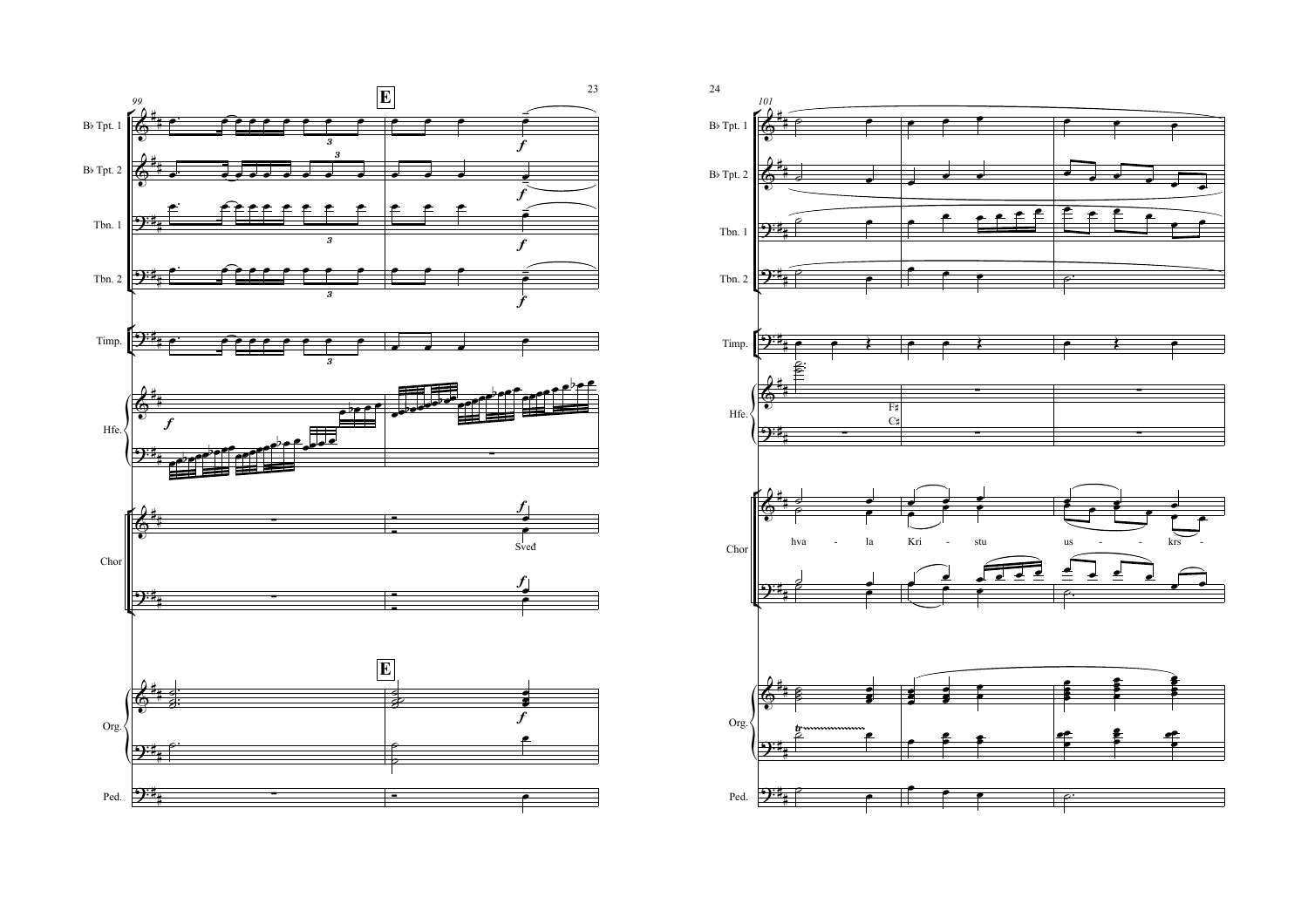

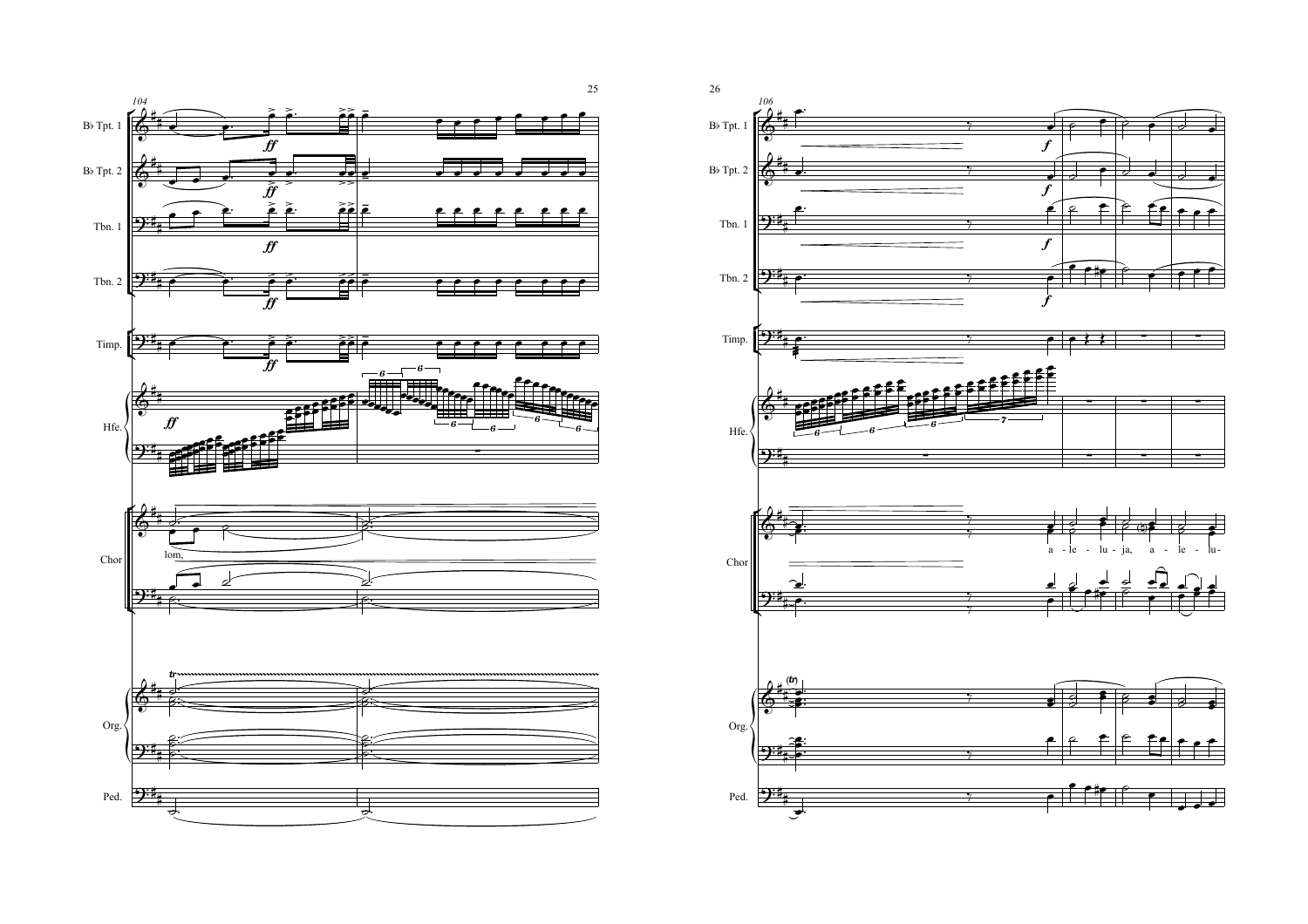

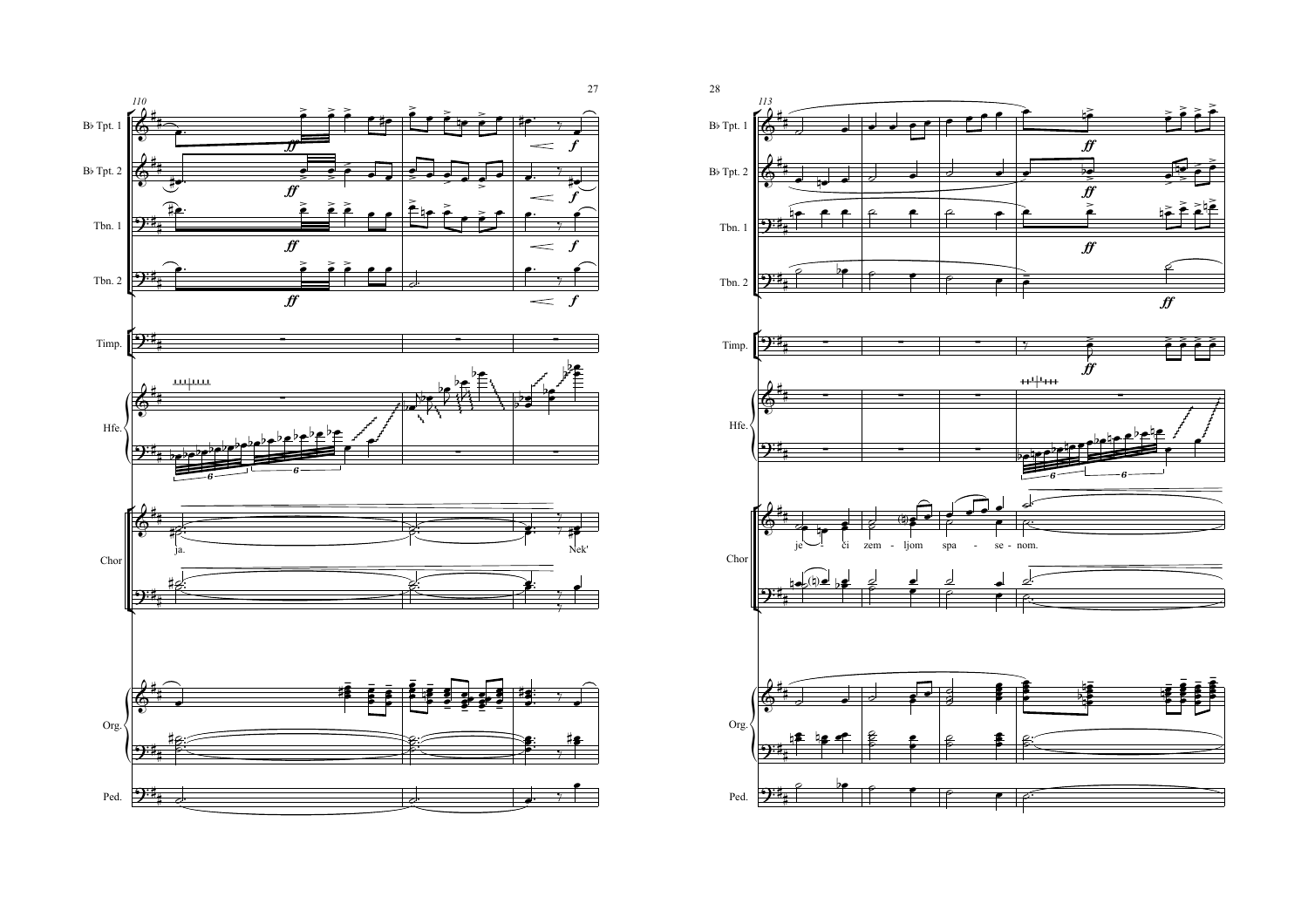